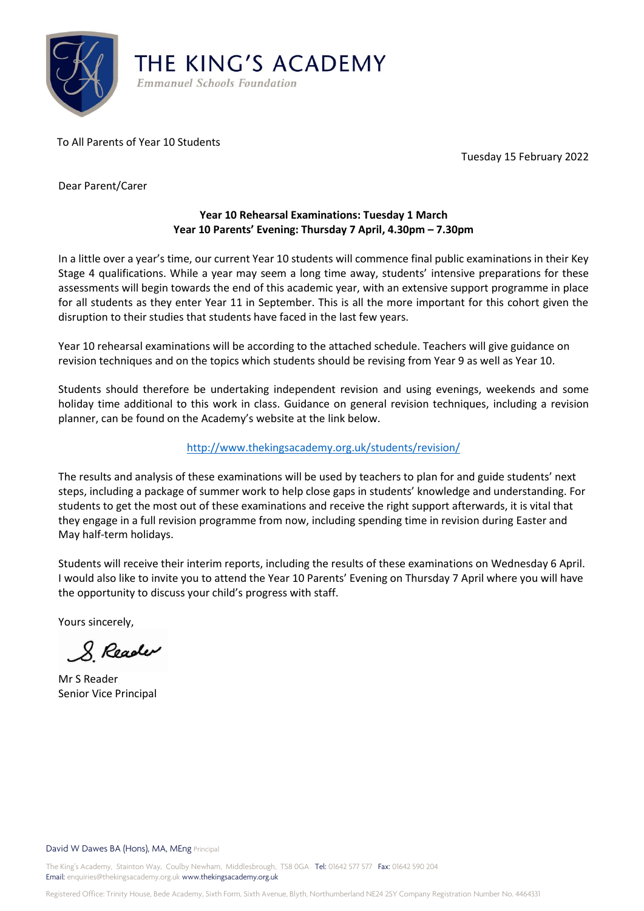

To All Parents of Year 10 Students

Tuesday 15 February 2022

Dear Parent/Carer

## **Year 10 Rehearsal Examinations: Tuesday 1 March Year 10 Parents' Evening: Thursday 7 April, 4.30pm – 7.30pm**

In a little over a year's time, our current Year 10 students will commence final public examinations in their Key Stage 4 qualifications. While a year may seem a long time away, students' intensive preparations for these assessments will begin towards the end of this academic year, with an extensive support programme in place for all students as they enter Year 11 in September. This is all the more important for this cohort given the disruption to their studies that students have faced in the last few years.

Year 10 rehearsal examinations will be according to the attached schedule. Teachers will give guidance on revision techniques and on the topics which students should be revising from Year 9 as well as Year 10.

Students should therefore be undertaking independent revision and using evenings, weekends and some holiday time additional to this work in class. Guidance on general revision techniques, including a revision planner, can be found on the Academy's website at the link below.

## <http://www.thekingsacademy.org.uk/students/revision/>

The results and analysis of these examinations will be used by teachers to plan for and guide students' next steps, including a package of summer work to help close gaps in students' knowledge and understanding. For students to get the most out of these examinations and receive the right support afterwards, it is vital that they engage in a full revision programme from now, including spending time in revision during Easter and May half-term holidays.

Students will receive their interim reports, including the results of these examinations on Wednesday 6 April. I would also like to invite you to attend the Year 10 Parents' Evening on Thursday 7 April where you will have the opportunity to discuss your child's progress with staff.

Yours sincerely,

& Reader

Mr S Reader Senior Vice Principal

## David W Dawes BA (Hons), MA, MEng Principal

The King's Academy, Stainton Way, Coulby Newham, Middlesbrough, TS8 0GA Tel: 01642 577 577 Fax: 01642 590 204 Email: enquiries@thekingsacademy.org.uk www.thekingsacademy.org.uk